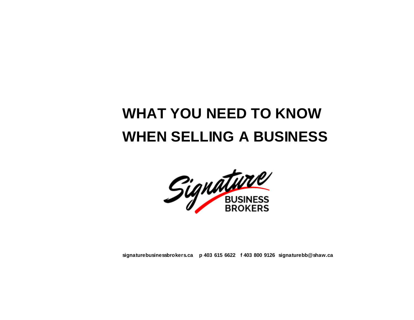# **WHAT YOU NEED TO KNOW WHEN SELLING A BUSINESS**



**signaturebusinessbrokers.ca p 403 615 6622 f 403 800 9126 signaturebb@shaw.ca**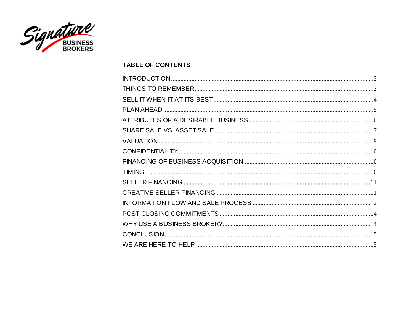

## **TABLE OF CONTENTS**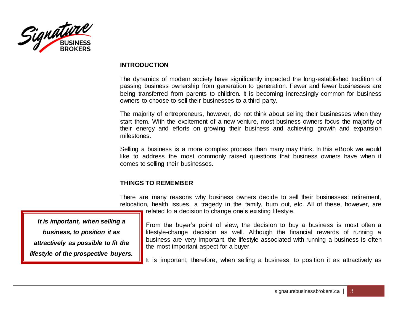<span id="page-2-0"></span>

#### **INTRODUCTION**

The dynamics of modern society have significantly impacted the long-established tradition of passing business ownership from generation to generation. Fewer and fewer businesses are being transferred from parents to children. It is becoming increasingly common for business owners to choose to sell their businesses to a third party.

The majority of entrepreneurs, however, do not think about selling their businesses when they start them. With the excitement of a new venture, most business owners focus the majority of their energy and efforts on growing their business and achieving growth and expansion milestones.

Selling a business is a more complex process than many may think. In this eBook we would like to address the most commonly raised questions that business owners have when it comes to selling their businesses.

# **THINGS TO REMEMBER**

There are many reasons why business owners decide to sell their businesses: retirement, relocation, health issues, a tragedy in the family, burn out, etc. All of these, however, are related to a decision to change one's existing lifestyle.

<span id="page-2-1"></span>*It is important, when selling a business, to position it as attractively as possible to fit the lifestyle of the prospective buyers.*

From the buyer's point of view, the decision to buy a business is most often a lifestyle-change decision as well. Although the financial rewards of running a business are very important, the lifestyle associated with running a business is often the most important aspect for a buyer.

It is important, therefore, when selling a business, to position it as attractively as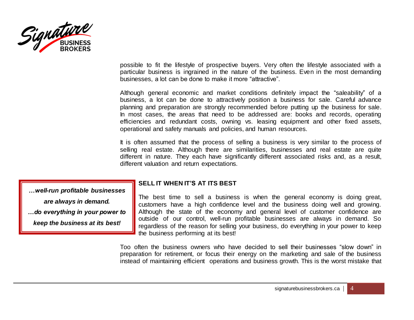

possible to fit the lifestyle of prospective buyers. Very often the lifestyle associated with a particular business is ingrained in the nature of the business. Even in the most demanding businesses, a lot can be done to make it more "attractive".

Although general economic and market conditions definitely impact the "saleability" of a business, a lot can be done to attractively position a business for sale. Careful advance planning and preparation are strongly recommended before putting up the business for sale. In most cases, the areas that need to be addressed are: books and records, operating efficiencies and redundant costs, owning vs. leasing equipment and other fixed assets, operational and safety manuals and policies, and human resources.

It is often assumed that the process of selling a business is very similar to the process of selling real estate. Although there are similarities, businesses and real estate are quite different in nature. They each have significantly different associated risks and, as a result, different valuation and return expectations.

*…well-run profitable businesses are always in demand. …do everything in your power to keep the business at its best!*

#### <span id="page-3-0"></span>**SELL IT WHEN IT'S AT ITS BEST**

The best time to sell a business is when the general economy is doing great, customers have a high confidence level and the business doing well and growing. Although the state of the economy and general level of customer confidence are outside of our control, well-run profitable businesses are always in demand. So regardless of the reason for selling your business, do everything in your power to keep the business performing at its best!

Too often the business owners who have decided to sell their businesses "slow down" in preparation for retirement, or focus their energy on the marketing and sale of the business instead of maintaining efficient operations and business growth. This is the worst mistake that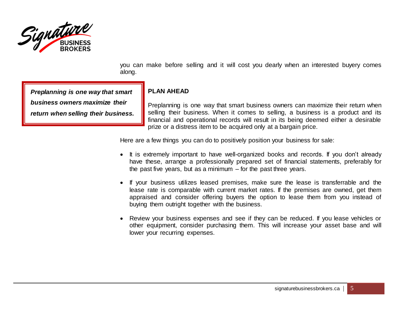

you can make before selling and it will cost you dearly when an interested buyery comes along.

*Preplanning is one way that smart business owners maximize their return when selling their business.*

# <span id="page-4-0"></span>**PLAN AHEAD**

Preplanning is one way that smart business owners can maximize their return when selling their business. When it comes to selling, a business is a product and its financial and operational records will result in its being deemed either a desirable prize or a distress item to be acquired only at a bargain price.

Here are a few things you can do to positively position your business for sale:

- It is extremely important to have well-organized books and records. If you don't already have these, arrange a professionally prepared set of financial statements, preferably for the past five years, but as a minimum – for the past three years.
- If your business utilizes leased premises, make sure the lease is transferrable and the lease rate is comparable with current market rates. If the premises are owned, get them appraised and consider offering buyers the option to lease them from you instead of buying them outright together with the business.
- Review your business expenses and see if they can be reduced. If you lease vehicles or other equipment, consider purchasing them. This will increase your asset base and will lower your recurring expenses.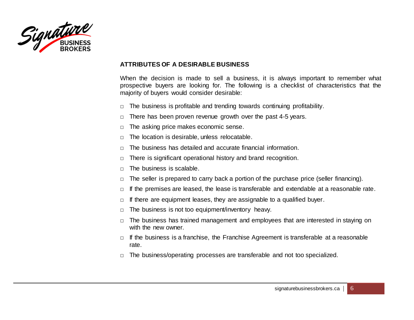<span id="page-5-0"></span>

## **ATTRIBUTES OF A DESIRABLE BUSINESS**

When the decision is made to sell a business, it is always important to remember what prospective buyers are looking for. The following is a checklist of characteristics that the majority of buyers would consider desirable:

- $\Box$  The business is profitable and trending towards continuing profitability.
- $\Box$  There has been proven revenue growth over the past 4-5 years.
- □ The asking price makes economic sense.
- $\Box$  The location is desirable, unless relocatable.
- □ The business has detailed and accurate financial information.
- $\Box$  There is significant operational history and brand recognition.
- $\Box$  The business is scalable.
- $\Box$  The seller is prepared to carry back a portion of the purchase price (seller financing).
- $\Box$  If the premises are leased, the lease is transferable and extendable at a reasonable rate.
- $\Box$  If there are equipment leases, they are assignable to a qualified buyer.
- $\Box$  The business is not too equipment/inventory heavy.
- $\Box$  The business has trained management and employees that are interested in staying on with the new owner.
- $\Box$  If the business is a franchise, the Franchise Agreement is transferable at a reasonable rate.
- $\Box$  The business/operating processes are transferable and not too specialized.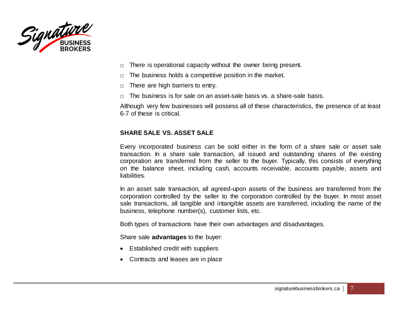<span id="page-6-0"></span>

- $\Box$  There is operational capacity without the owner being present.
- $\Box$  The business holds a competitive position in the market.
- $\Box$  There are high barriers to entry.
- $\Box$  The business is for sale on an asset-sale basis vs. a share-sale basis.

Although very few businesses will possess all of these characteristics, the presence of at least 6-7 of these is critical.

# **SHARE SALE VS. ASSET SALE**

Every incorporated business can be sold either in the form of a share sale or asset sale transaction. In a share sale transaction, all issued and outstanding shares of the existing corporation are transferred from the seller to the buyer. Typically, this consists of everything on the balance sheet, including cash, accounts receivable, accounts payable, assets and liabilities.

In an asset sale transaction, all agreed-upon assets of the business are transferred from the corporation controlled by the seller to the corporation controlled by the buyer. In most asset sale transactions, all tangible and intangible assets are transferred, including the name of the business, telephone number(s), customer lists, etc.

Both types of transactions have their own advantages and disadvantages.

Share sale **advantages** to the buyer:

- Established credit with suppliers
- Contracts and leases are in place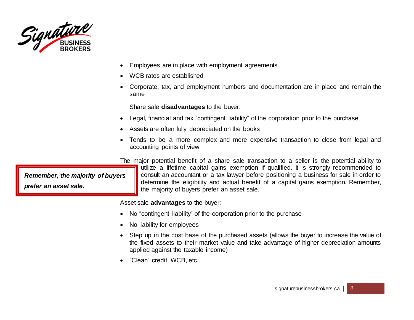

- Employees are in place with employment agreements
- WCB rates are established
- Corporate, tax, and employment numbers and documentation are in place and remain the same

Share sale **disadvantages** to the buyer:

- Legal, financial and tax "contingent liability" of the corporation prior to the purchase
- Assets are often fully depreciated on the books
- Tends to be a more complex and more expensive transaction to close from legal and accounting points of view

The major potential benefit of a share sale transaction to a seller is the potential ability to

*Remember, the majority of buyers prefer an asset sale.*

utilize a lifetime capital gains exemption if qualified. It is strongly recommended to consult an accountant or a tax lawyer before positioning a business for sale in order to determine the eligibility and actual benefit of a capital gains exemption. Remember, the majority of buyers prefer an asset sale.

Asset sale **advantages** to the buyer:

- No "contingent liability" of the corporation prior to the purchase
- No liability for employees
- Step up in the cost base of the purchased assets (allows the buyer to increase the value of the fixed assets to their market value and take advantage of higher depreciation amounts applied against the taxable income)
- "Clean" credit, WCB, etc.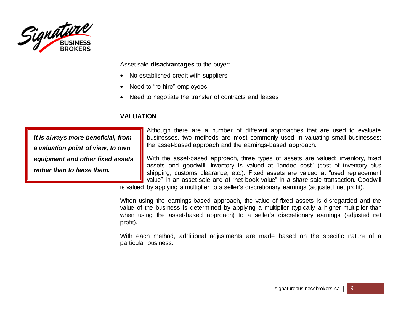

Asset sale **disadvantages** to the buyer:

- No established credit with suppliers
- Need to "re-hire" employees
- Need to negotiate the transfer of contracts and leases

# **VALUATION**

<span id="page-8-0"></span>*It is always more beneficial, from a valuation point of view, to own equipment and other fixed assets rather than to lease them.*

Although there are a number of different approaches that are used to evaluate businesses, two methods are most commonly used in valuating small businesses: the asset-based approach and the earnings-based approach.

With the asset-based approach, three types of assets are valued: inventory, fixed assets and goodwill. Inventory is valued at "landed cost" (cost of inventory plus shipping, customs clearance, etc.). Fixed assets are valued at "used replacement value" in an asset sale and at "net book value" in a share sale transaction. Goodwill

is valued by applying a multiplier to a seller's discretionary earnings (adjusted net profit).

When using the earnings-based approach, the value of fixed assets is disregarded and the value of the business is determined by applying a multiplier (typically a higher multiplier than when using the asset-based approach) to a seller's discretionary earnings (adjusted net profit).

With each method, additional adjustments are made based on the specific nature of a particular business.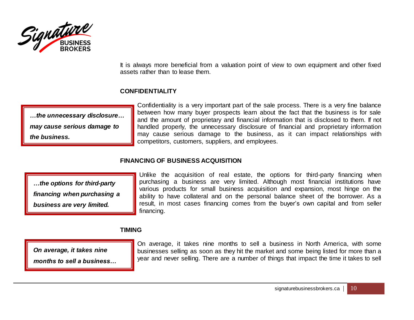

It is always more beneficial from a valuation point of view to own equipment and other fixed assets rather than to lease them.

# **CONFIDENTIALITY**

<span id="page-9-0"></span>*…the unnecessary disclosure… may cause serious damage to the business.*

Confidentiality is a very important part of the sale process. There is a very fine balance between how many buyer prospects learn about the fact that the business is for sale and the amount of proprietary and financial information that is disclosed to them. If not handled properly, the unnecessary disclosure of financial and proprietary information may cause serious damage to the business, as it can impact relationships with competitors, customers, suppliers, and employees.

# **FINANCING OF BUSINESS ACQUISITION**

<span id="page-9-1"></span>*…the options for third-party financing when purchasing a business are very limited.*

Unlike the acquisition of real estate, the options for third-party financing when purchasing a business are very limited. Although most financial institutions have various products for small business acquisition and expansion, most hinge on the ability to have collateral and on the personal balance sheet of the borrower. As a result, in most cases financing comes from the buyer's own capital and from seller financing.

# **TIMING**

<span id="page-9-2"></span>*On average, it takes nine* 

*months to sell a business…*

On average, it takes nine months to sell a business in North America, with some businesses selling as soon as they hit the market and some being listed for more than a year and never selling. There are a number of things that impact the time it takes to sell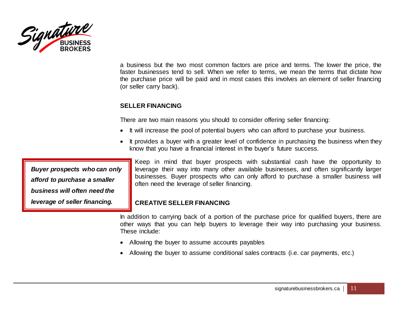

a business but the two most common factors are price and terms. The lower the price, the faster businesses tend to sell. When we refer to terms, we mean the terms that dictate how the purchase price will be paid and in most cases this involves an element of seller financing (or seller carry back).

# **SELLER FINANCING**

There are two main reasons you should to consider offering seller financing:

- It will increase the pool of potential buyers who can afford to purchase your business.
- It provides a buyer with a greater level of confidence in purchasing the business when they know that you have a financial interest in the buyer's future success.

<span id="page-10-0"></span>*Buyer prospects who can only afford to purchase a smaller business will often need the leverage of seller financing.*

Keep in mind that buyer prospects with substantial cash have the opportunity to leverage their way into many other available businesses, and often significantly larger businesses. Buyer prospects who can only afford to purchase a smaller business will often need the leverage of seller financing.

# <span id="page-10-1"></span>**CREATIVE SELLER FINANCING**

In addition to carrying back of a portion of the purchase price for qualified buyers, there are other ways that you can help buyers to leverage their way into purchasing your business. These include:

- Allowing the buyer to assume accounts payables
- Allowing the buyer to assume conditional sales contracts (i.e. car payments, etc.)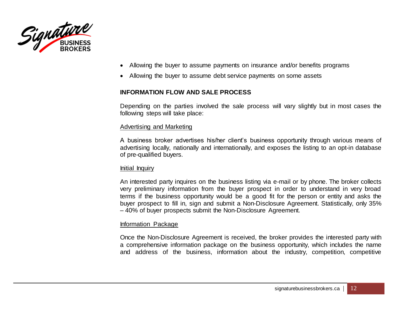<span id="page-11-0"></span>

- Allowing the buyer to assume payments on insurance and/or benefits programs
- Allowing the buyer to assume debt service payments on some assets

#### **INFORMATION FLOW AND SALE PROCESS**

Depending on the parties involved the sale process will vary slightly but in most cases the following steps will take place:

#### Advertising and Marketing

A business broker advertises his/her client's business opportunity through various means of advertising locally, nationally and internationally, and exposes the listing to an opt-in database of pre-qualified buyers.

#### Initial Inquiry

An interested party inquires on the business listing via e-mail or by phone. The broker collects very preliminary information from the buyer prospect in order to understand in very broad terms if the business opportunity would be a good fit for the person or entity and asks the buyer prospect to fill in, sign and submit a Non-Disclosure Agreement. Statistically, only 35% – 40% of buyer prospects submit the Non-Disclosure Agreement.

#### Information Package

Once the Non-Disclosure Agreement is received, the broker provides the interested party with a comprehensive information package on the business opportunity, which includes the name and address of the business, information about the industry, competition, competitive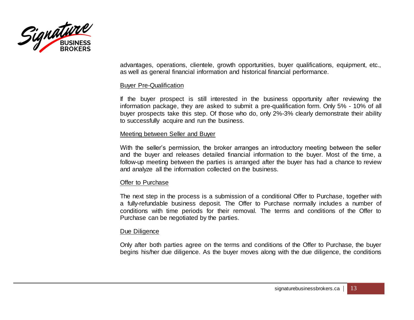

advantages, operations, clientele, growth opportunities, buyer qualifications, equipment, etc., as well as general financial information and historical financial performance.

#### Buyer Pre-Qualification

If the buyer prospect is still interested in the business opportunity after reviewing the information package, they are asked to submit a pre-qualification form. Only 5% - 10% of all buyer prospects take this step. Of those who do, only 2%-3% clearly demonstrate their ability to successfully acquire and run the business.

#### Meeting between Seller and Buyer

With the seller's permission, the broker arranges an introductory meeting between the seller and the buyer and releases detailed financial information to the buyer. Most of the time, a follow-up meeting between the parties is arranged after the buyer has had a chance to review and analyze all the information collected on the business.

#### Offer to Purchase

The next step in the process is a submission of a conditional Offer to Purchase, together with a fully-refundable business deposit. The Offer to Purchase normally includes a number of conditions with time periods for their removal. The terms and conditions of the Offer to Purchase can be negotiated by the parties.

#### Due Diligence

Only after both parties agree on the terms and conditions of the Offer to Purchase, the buyer begins his/her due diligence. As the buyer moves along with the due diligence, the conditions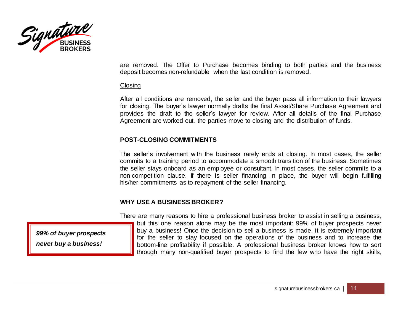

are removed. The Offer to Purchase becomes binding to both parties and the business deposit becomes non-refundable when the last condition is removed.

#### **Closing**

After all conditions are removed, the seller and the buyer pass all information to their lawyers for closing. The buyer's lawyer normally drafts the final Asset/Share Purchase Agreement and provides the draft to the seller's lawyer for review. After all details of the final Purchase Agreement are worked out, the parties move to closing and the distribution of funds.

# **POST-CLOSING COMMITMENTS**

The seller's involvement with the business rarely ends at closing. In most cases, the seller commits to a training period to accommodate a smooth transition of the business. Sometimes the seller stays onboard as an employee or consultant. In most cases, the seller commits to a non-competition clause. If there is seller financing in place, the buyer will begin fulfilling his/her commitments as to repayment of the seller financing.

# **WHY USE A BUSINESS BROKER?**

There are many reasons to hire a professional business broker to assist in selling a business, but this one reason alone may be the most important: 99% of buyer prospects never buy a business! Once the decision to sell a business is made, it is extremely important for the seller to stay focused on the operations of the business and to increase the bottom-line profitability if possible. A professional business broker knows how to sort through many non-qualified buyer prospects to find the few who have the right skills,

<span id="page-13-1"></span><span id="page-13-0"></span>*99% of buyer prospects never buy a business!*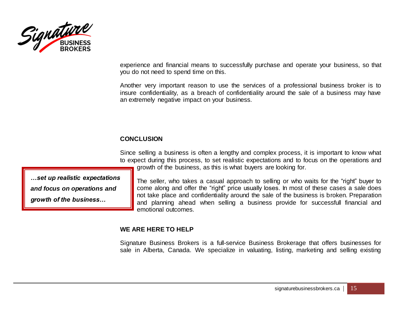

experience and financial means to successfully purchase and operate your business, so that you do not need to spend time on this.

Another very important reason to use the services of a professional business broker is to insure confidentiality, as a breach of confidentiality around the sale of a business may have an extremely negative impact on your business.

# **CONCLUSION**

Since selling a business is often a lengthy and complex process, it is important to know what to expect during this process, to set realistic expectations and to focus on the operations and growth of the business, as this is what buyers are looking for.

<span id="page-14-1"></span><span id="page-14-0"></span>*…set up realistic expectations and focus on operations and growth of the business…*

The seller, who takes a casual approach to selling or who waits for the "right" buyer to come along and offer the "right" price usually loses. In most of these cases a sale does not take place and confidentiality around the sale of the business is broken. Preparation and planning ahead when selling a business provide for successfull financial and emotional outcomes.

# **WE ARE HERE TO HELP**

Signature Business Brokers is a full-service Business Brokerage that offers businesses for sale in Alberta, Canada. We specialize in valuating, listing, marketing and selling existing